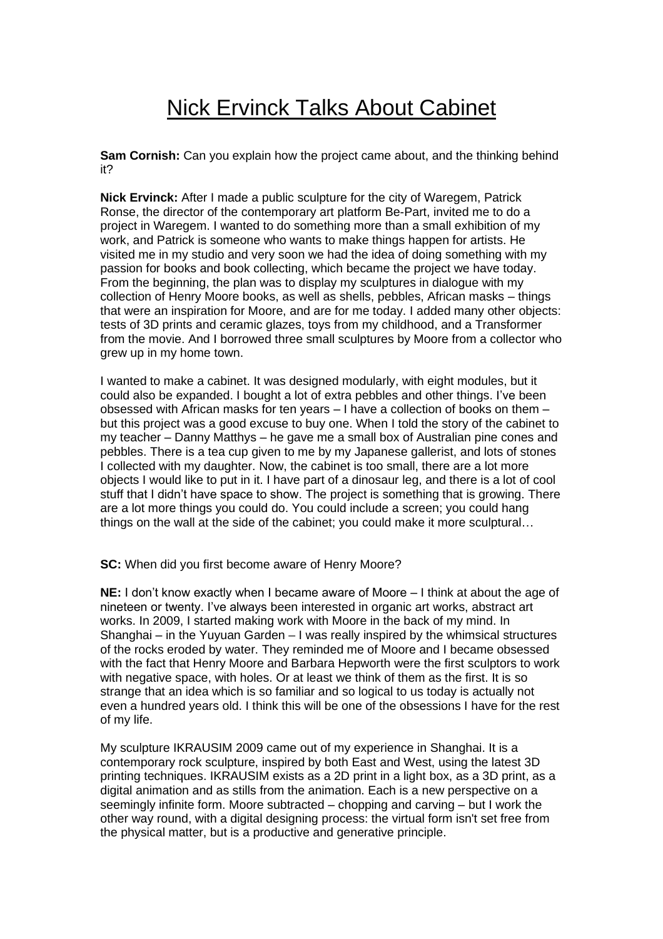## Nick Ervinck Talks About Cabinet

**Sam Cornish:** Can you explain how the project came about, and the thinking behind it?

**Nick Ervinck:** After I made a public sculpture for the city of Waregem, Patrick Ronse, the director of the contemporary art platform Be-Part, invited me to do a project in Waregem. I wanted to do something more than a small exhibition of my work, and Patrick is someone who wants to make things happen for artists. He visited me in my studio and very soon we had the idea of doing something with my passion for books and book collecting, which became the project we have today. From the beginning, the plan was to display my sculptures in dialogue with my collection of Henry Moore books, as well as shells, pebbles, African masks – things that were an inspiration for Moore, and are for me today. I added many other objects: tests of 3D prints and ceramic glazes, toys from my childhood, and a Transformer from the movie. And I borrowed three small sculptures by Moore from a collector who grew up in my home town.

I wanted to make a cabinet. It was designed modularly, with eight modules, but it could also be expanded. I bought a lot of extra pebbles and other things. I've been obsessed with African masks for ten years – I have a collection of books on them – but this project was a good excuse to buy one. When I told the story of the cabinet to my teacher – Danny Matthys – he gave me a small box of Australian pine cones and pebbles. There is a tea cup given to me by my Japanese gallerist, and lots of stones I collected with my daughter. Now, the cabinet is too small, there are a lot more objects I would like to put in it. I have part of a dinosaur leg, and there is a lot of cool stuff that I didn't have space to show. The project is something that is growing. There are a lot more things you could do. You could include a screen; you could hang things on the wall at the side of the cabinet; you could make it more sculptural…

**SC:** When did you first become aware of Henry Moore?

**NE:** I don't know exactly when I became aware of Moore – I think at about the age of nineteen or twenty. I've always been interested in organic art works, abstract art works. In 2009, I started making work with Moore in the back of my mind. In Shanghai – in the Yuyuan Garden – I was really inspired by the whimsical structures of the rocks eroded by water. They reminded me of Moore and I became obsessed with the fact that Henry Moore and Barbara Hepworth were the first sculptors to work with negative space, with holes. Or at least we think of them as the first. It is so strange that an idea which is so familiar and so logical to us today is actually not even a hundred years old. I think this will be one of the obsessions I have for the rest of my life.

My sculpture IKRAUSIM 2009 came out of my experience in Shanghai. It is a contemporary rock sculpture, inspired by both East and West, using the latest 3D printing techniques. IKRAUSIM exists as a 2D print in a light box, as a 3D print, as a digital animation and as stills from the animation. Each is a new perspective on a seemingly infinite form. Moore subtracted – chopping and carving – but I work the other way round, with a digital designing process: the virtual form isn't set free from the physical matter, but is a productive and generative principle.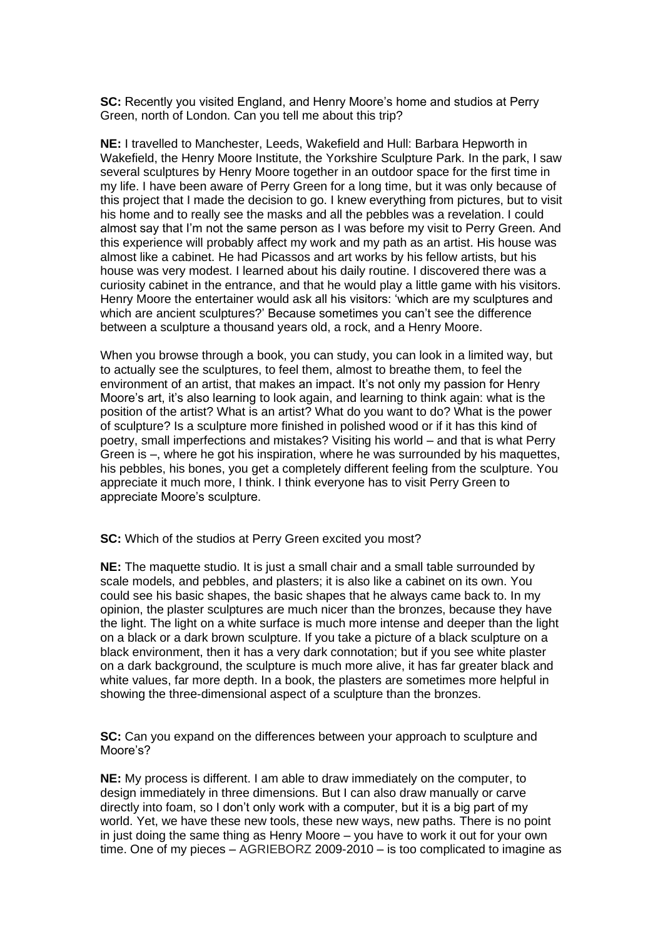**SC:** Recently you visited England, and Henry Moore's home and studios at Perry Green, north of London. Can you tell me about this trip?

**NE:** I travelled to Manchester, Leeds, Wakefield and Hull: Barbara Hepworth in Wakefield, the Henry Moore Institute, the Yorkshire Sculpture Park. In the park, I saw several sculptures by Henry Moore together in an outdoor space for the first time in my life. I have been aware of Perry Green for a long time, but it was only because of this project that I made the decision to go. I knew everything from pictures, but to visit his home and to really see the masks and all the pebbles was a revelation. I could almost say that I'm not the same person as I was before my visit to Perry Green. And this experience will probably affect my work and my path as an artist. His house was almost like a cabinet. He had Picassos and art works by his fellow artists, but his house was very modest. I learned about his daily routine. I discovered there was a curiosity cabinet in the entrance, and that he would play a little game with his visitors. Henry Moore the entertainer would ask all his visitors: 'which are my sculptures and which are ancient sculptures?' Because sometimes you can't see the difference between a sculpture a thousand years old, a rock, and a Henry Moore.

When you browse through a book, you can study, you can look in a limited way, but to actually see the sculptures, to feel them, almost to breathe them, to feel the environment of an artist, that makes an impact. It's not only my passion for Henry Moore's art, it's also learning to look again, and learning to think again: what is the position of the artist? What is an artist? What do you want to do? What is the power of sculpture? Is a sculpture more finished in polished wood or if it has this kind of poetry, small imperfections and mistakes? Visiting his world – and that is what Perry Green is –, where he got his inspiration, where he was surrounded by his maquettes, his pebbles, his bones, you get a completely different feeling from the sculpture. You appreciate it much more, I think. I think everyone has to visit Perry Green to appreciate Moore's sculpture.

**SC:** Which of the studios at Perry Green excited you most?

**NE:** The maquette studio. It is just a small chair and a small table surrounded by scale models, and pebbles, and plasters; it is also like a cabinet on its own. You could see his basic shapes, the basic shapes that he always came back to. In my opinion, the plaster sculptures are much nicer than the bronzes, because they have the light. The light on a white surface is much more intense and deeper than the light on a black or a dark brown sculpture. If you take a picture of a black sculpture on a black environment, then it has a very dark connotation; but if you see white plaster on a dark background, the sculpture is much more alive, it has far greater black and white values, far more depth. In a book, the plasters are sometimes more helpful in showing the three-dimensional aspect of a sculpture than the bronzes.

**SC:** Can you expand on the differences between your approach to sculpture and Moore's?

**NE:** My process is different. I am able to draw immediately on the computer, to design immediately in three dimensions. But I can also draw manually or carve directly into foam, so I don't only work with a computer, but it is a big part of my world. Yet, we have these new tools, these new ways, new paths. There is no point in just doing the same thing as Henry Moore – you have to work it out for your own time. One of my pieces – AGRIEBORZ 2009-2010 – is too complicated to imagine as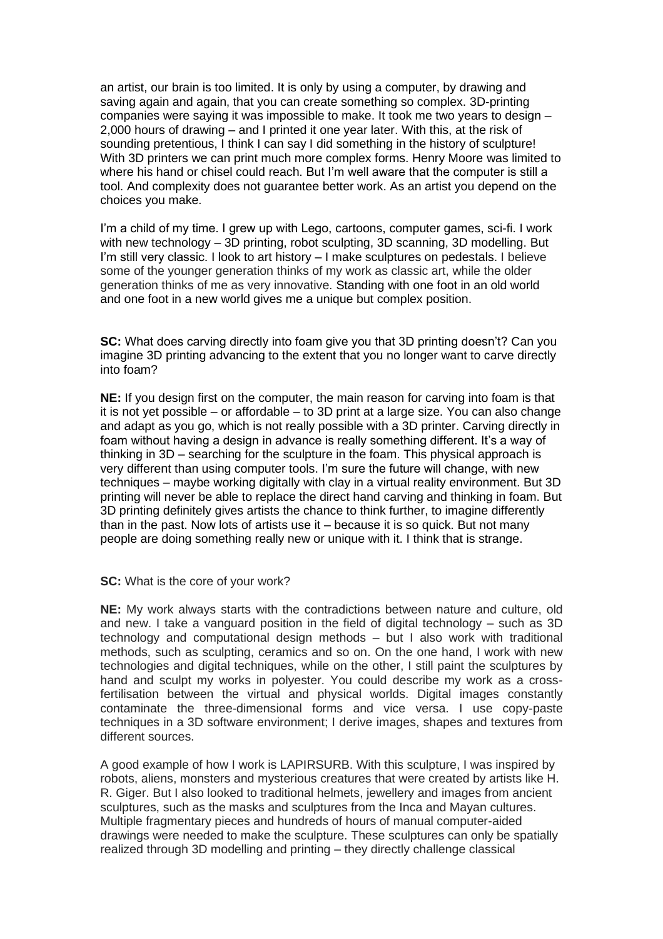an artist, our brain is too limited. It is only by using a computer, by drawing and saving again and again, that you can create something so complex. 3D-printing companies were saying it was impossible to make. It took me two years to design – 2,000 hours of drawing – and I printed it one year later. With this, at the risk of sounding pretentious, I think I can say I did something in the history of sculpture! With 3D printers we can print much more complex forms. Henry Moore was limited to where his hand or chisel could reach. But I'm well aware that the computer is still a tool. And complexity does not guarantee better work. As an artist you depend on the choices you make.

I'm a child of my time. I grew up with Lego, cartoons, computer games, sci-fi. I work with new technology – 3D printing, robot sculpting, 3D scanning, 3D modelling. But I'm still very classic. I look to art history – I make sculptures on pedestals. I believe some of the younger generation thinks of my work as classic art, while the older generation thinks of me as very innovative. Standing with one foot in an old world and one foot in a new world gives me a unique but complex position.

**SC:** What does carving directly into foam give you that 3D printing doesn't? Can you imagine 3D printing advancing to the extent that you no longer want to carve directly into foam?

**NE:** If you design first on the computer, the main reason for carving into foam is that it is not yet possible – or affordable – to 3D print at a large size. You can also change and adapt as you go, which is not really possible with a 3D printer. Carving directly in foam without having a design in advance is really something different. It's a way of thinking in 3D – searching for the sculpture in the foam. This physical approach is very different than using computer tools. I'm sure the future will change, with new techniques – maybe working digitally with clay in a virtual reality environment. But 3D printing will never be able to replace the direct hand carving and thinking in foam. But 3D printing definitely gives artists the chance to think further, to imagine differently than in the past. Now lots of artists use it – because it is so quick. But not many people are doing something really new or unique with it. I think that is strange.

**SC:** What is the core of your work?

**NE:** My work always starts with the contradictions between nature and culture, old and new. I take a vanguard position in the field of digital technology – such as 3D technology and computational design methods – but I also work with traditional methods, such as sculpting, ceramics and so on. On the one hand, I work with new technologies and digital techniques, while on the other, I still paint the sculptures by hand and sculpt my works in polyester. You could describe my work as a crossfertilisation between the virtual and physical worlds. Digital images constantly contaminate the three-dimensional forms and vice versa. I use copy-paste techniques in a 3D software environment; I derive images, shapes and textures from different sources.

A good example of how I work is LAPIRSURB. With this sculpture, I was inspired by robots, aliens, monsters and mysterious creatures that were created by artists like H. R. Giger. But I also looked to traditional helmets, jewellery and images from ancient sculptures, such as the masks and sculptures from the Inca and Mayan cultures. Multiple fragmentary pieces and hundreds of hours of manual computer-aided drawings were needed to make the sculpture. These sculptures can only be spatially realized through 3D modelling and printing – they directly challenge classical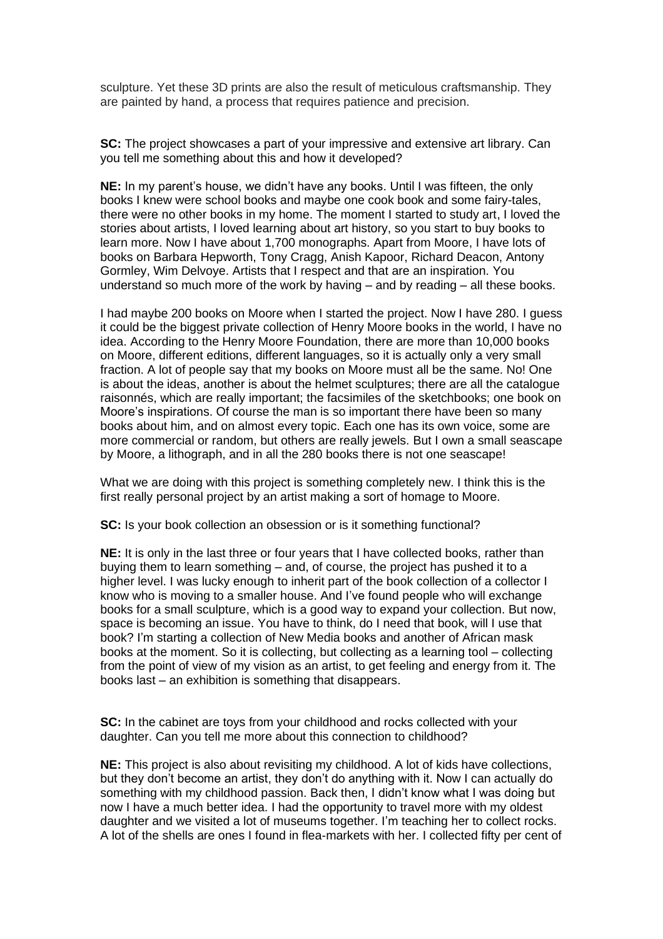sculpture. Yet these 3D prints are also the result of meticulous craftsmanship. They are painted by hand, a process that requires patience and precision.

**SC:** The project showcases a part of your impressive and extensive art library. Can you tell me something about this and how it developed?

**NE:** In my parent's house, we didn't have any books. Until I was fifteen, the only books I knew were school books and maybe one cook book and some fairy-tales, there were no other books in my home. The moment I started to study art, I loved the stories about artists, I loved learning about art history, so you start to buy books to learn more. Now I have about 1,700 monographs. Apart from Moore, I have lots of books on Barbara Hepworth, Tony Cragg, Anish Kapoor, Richard Deacon, Antony Gormley, Wim Delvoye. Artists that I respect and that are an inspiration. You understand so much more of the work by having – and by reading – all these books.

I had maybe 200 books on Moore when I started the project. Now I have 280. I guess it could be the biggest private collection of Henry Moore books in the world, I have no idea. According to the Henry Moore Foundation, there are more than 10,000 books on Moore, different editions, different languages, so it is actually only a very small fraction. A lot of people say that my books on Moore must all be the same. No! One is about the ideas, another is about the helmet sculptures; there are all the catalogue raisonnés, which are really important; the facsimiles of the sketchbooks; one book on Moore's inspirations. Of course the man is so important there have been so many books about him, and on almost every topic. Each one has its own voice, some are more commercial or random, but others are really jewels. But I own a small seascape by Moore, a lithograph, and in all the 280 books there is not one seascape!

What we are doing with this project is something completely new. I think this is the first really personal project by an artist making a sort of homage to Moore.

**SC:** Is your book collection an obsession or is it something functional?

**NE:** It is only in the last three or four years that I have collected books, rather than buying them to learn something – and, of course, the project has pushed it to a higher level. I was lucky enough to inherit part of the book collection of a collector I know who is moving to a smaller house. And I've found people who will exchange books for a small sculpture, which is a good way to expand your collection. But now, space is becoming an issue. You have to think, do I need that book, will I use that book? I'm starting a collection of New Media books and another of African mask books at the moment. So it is collecting, but collecting as a learning tool – collecting from the point of view of my vision as an artist, to get feeling and energy from it. The books last – an exhibition is something that disappears.

**SC:** In the cabinet are toys from your childhood and rocks collected with your daughter. Can you tell me more about this connection to childhood?

**NE:** This project is also about revisiting my childhood. A lot of kids have collections, but they don't become an artist, they don't do anything with it. Now I can actually do something with my childhood passion. Back then, I didn't know what I was doing but now I have a much better idea. I had the opportunity to travel more with my oldest daughter and we visited a lot of museums together. I'm teaching her to collect rocks. A lot of the shells are ones I found in flea-markets with her. I collected fifty per cent of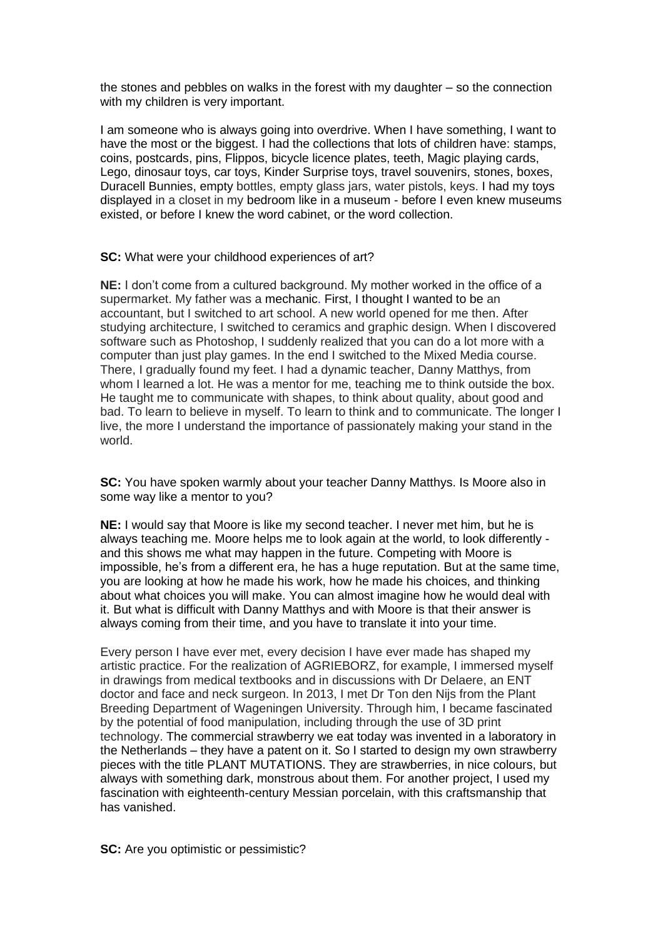the stones and pebbles on walks in the forest with my daughter – so the connection with my children is very important.

I am someone who is always going into overdrive. When I have something, I want to have the most or the biggest. I had the collections that lots of children have: stamps, coins, postcards, pins, Flippos, bicycle licence plates, teeth, Magic playing cards, Lego, dinosaur toys, car toys, Kinder Surprise toys, travel souvenirs, stones, boxes, Duracell Bunnies, empty bottles, empty glass jars, water pistols, keys. I had my toys displayed in a closet in my bedroom like in a museum - before I even knew museums existed, or before I knew the word cabinet, or the word collection.

**SC:** What were your childhood experiences of art?

**NE:** I don't come from a cultured background. My mother worked in the office of a supermarket. My father was a mechanic. First, I thought I wanted to be an accountant, but I switched to art school. A new world opened for me then. After studying architecture, I switched to ceramics and graphic design. When I discovered software such as Photoshop, I suddenly realized that you can do a lot more with a computer than just play games. In the end I switched to the Mixed Media course. There, I gradually found my feet. I had a dynamic teacher, Danny Matthys, from whom I learned a lot. He was a mentor for me, teaching me to think outside the box. He taught me to communicate with shapes, to think about quality, about good and bad. To learn to believe in myself. To learn to think and to communicate. The longer I live, the more I understand the importance of passionately making your stand in the world.

**SC:** You have spoken warmly about your teacher Danny Matthys. Is Moore also in some way like a mentor to you?

**NE:** I would say that Moore is like my second teacher. I never met him, but he is always teaching me. Moore helps me to look again at the world, to look differently and this shows me what may happen in the future. Competing with Moore is impossible, he's from a different era, he has a huge reputation. But at the same time, you are looking at how he made his work, how he made his choices, and thinking about what choices you will make. You can almost imagine how he would deal with it. But what is difficult with Danny Matthys and with Moore is that their answer is always coming from their time, and you have to translate it into your time.

Every person I have ever met, every decision I have ever made has shaped my artistic practice. For the realization of AGRIEBORZ, for example, I immersed myself in drawings from medical textbooks and in discussions with Dr Delaere, an ENT doctor and face and neck surgeon. In 2013, I met Dr Ton den Nijs from the Plant Breeding Department of Wageningen University. Through him, I became fascinated by the potential of food manipulation, including through the use of 3D print technology. The commercial strawberry we eat today was invented in a laboratory in the Netherlands – they have a patent on it. So I started to design my own strawberry pieces with the title PLANT MUTATIONS. They are strawberries, in nice colours, but always with something dark, monstrous about them. For another project, I used my fascination with eighteenth-century Messian porcelain, with this craftsmanship that has vanished.